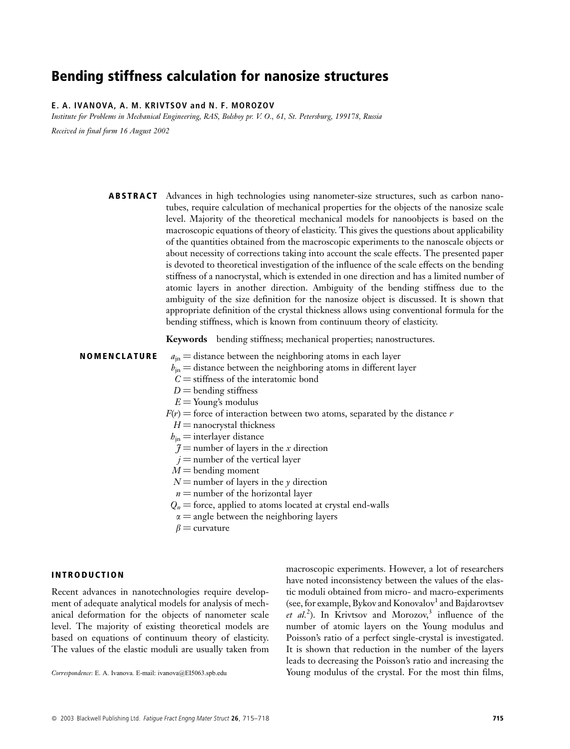# **Bending stiffness calculation for nanosize structures**

# E. A. IVANOVA, A. M. KRIVTSOV and N. F. MOROZOV

Institute for Problems in Mechanical Engineering, RAS, Bolshoy pr. V. O., 61, St. Petersburg, 199178, Russia

Received in final form 16 August 2002

**ABSTRACT** Advances in high technologies using nanometer-size structures, such as carbon nanotubes, require calculation of mechanical properties for the objects of the nanosize scale level. Majority of the theoretical mechanical models for nanoobjects is based on the macroscopic equations of theory of elasticity. This gives the questions about applicability of the quantities obtained from the macroscopic experiments to the nanoscale objects or about necessity of corrections taking into account the scale effects. The presented paper is devoted to theoretical investigation of the influence of the scale effects on the bending stiffness of a nanocrystal, which is extended in one direction and has a limited number of atomic layers in another direction. Ambiguity of the bending stiffness due to the ambiguity of the size definition for the nanosize object is discussed. It is shown that appropriate definition of the crystal thickness allows using conventional formula for the bending stiffness, which is known from continuum theory of elasticity.

Keywords bending stiffness; mechanical properties; nanostructures.

#### **NOMENCLATURE**

- $a_{\rm in}$  = distance between the neighboring atoms in each layer
- $b_{\rm in}$  = distance between the neighboring atoms in different layer
- $C =$  stiffness of the interatomic bond
- $D =$  bending stiffness
- $E =$ Young's modulus
- $F(r)$  = force of interaction between two atoms, separated by the distance r
	- $H =$  nanocrystal thickness
- $b_{\rm in}$  = interlayer distance
- $\mathcal{J}$  = number of layers in the x direction
- $i$  = number of the vertical layer
- $M =$ bending moment
- $N$  = number of layers in the y direction
- $n =$  number of the horizontal layer
- $Q_n$  = force, applied to atoms located at crystal end-walls
- $\alpha$  = angle between the neighboring layers
- $\beta$  = curvature

## **INTRODUCTION**

Recent advances in nanotechnologies require development of adequate analytical models for analysis of mechanical deformation for the objects of nanometer scale level. The majority of existing theoretical models are based on equations of continuum theory of elasticity. The values of the elastic moduli are usually taken from

Correspondence: E. A. Ivanova. E-mail: ivanova@EI5063.spb.edu

macroscopic experiments. However, a lot of researchers have noted inconsistency between the values of the elastic moduli obtained from micro- and macro-experiments (see, for example, Bykov and Konovalov<sup>1</sup> and Bajdarovtsev *et al.*<sup>2</sup>). In Krivtsov and Morozov,<sup>3</sup> influence of the number of atomic layers on the Young modulus and Poisson's ratio of a perfect single-crystal is investigated. It is shown that reduction in the number of the layers leads to decreasing the Poisson's ratio and increasing the Young modulus of the crystal. For the most thin films,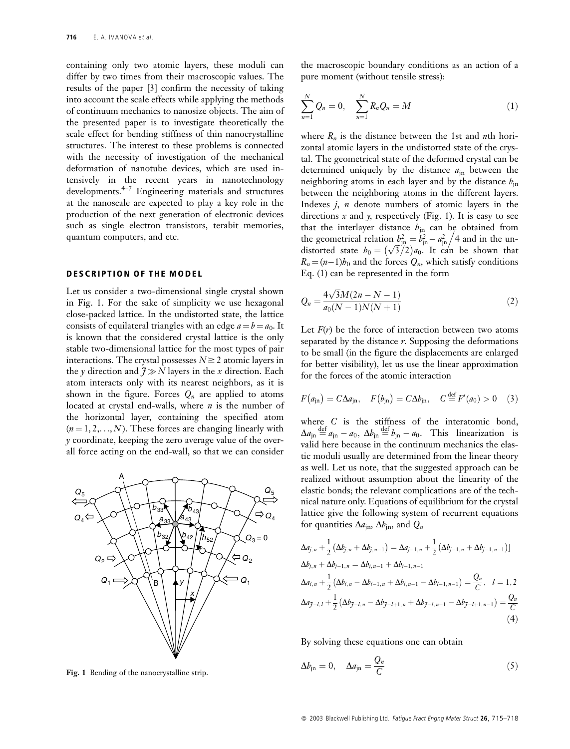containing only two atomic layers, these moduli can differ by two times from their macroscopic values. The results of the paper [3] confirm the necessity of taking into account the scale effects while applying the methods of continuum mechanics to nanosize objects. The aim of the presented paper is to investigate theoretically the scale effect for bending stiffness of thin nanocrystalline structures. The interest to these problems is connected with the necessity of investigation of the mechanical deformation of nanotube devices, which are used intensively in the recent years in nanotechnology developments. $4-7$  Engineering materials and structures at the nanoscale are expected to play a key role in the production of the next generation of electronic devices such as single electron transistors, terabit memories, quantum computers, and etc.

#### **DESCRIPTION OF THE MODEL**

Let us consider a two-dimensional single crystal shown in Fig. 1. For the sake of simplicity we use hexagonal close-packed lattice. In the undistorted state, the lattice consists of equilateral triangles with an edge  $a = b = a_0$ . It is known that the considered crystal lattice is the only stable two-dimensional lattice for the most types of pair interactions. The crystal possesses  $N \ge 2$  atomic layers in the y direction and  $7 \gg N$  layers in the x direction. Each atom interacts only with its nearest neighbors, as it is shown in the figure. Forces  $Q_n$  are applied to atoms located at crystal end-walls, where  $n$  is the number of the horizontal layer, containing the specified atom  $(n=1,2,...,N)$ . These forces are changing linearly with y coordinate, keeping the zero average value of the overall force acting on the end-wall, so that we can consider



Fig. 1 Bending of the nanocrystalline strip.

the macroscopic boundary conditions as an action of a pure moment (without tensile stress):

$$
\sum_{n=1}^{N} Q_n = 0, \quad \sum_{n=1}^{N} R_n Q_n = M \tag{1}
$$

where  $R_n$  is the distance between the 1st and *n*th horizontal atomic layers in the undistorted state of the crystal. The geometrical state of the deformed crystal can be determined uniquely by the distance  $a_{\rm in}$  between the neighboring atoms in each layer and by the distance  $b_{in}$ between the neighboring atoms in the different layers. Indexes  $j$ ,  $n$  denote numbers of atomic layers in the directions x and y, respectively (Fig. 1). It is easy to see that the interlayer distance  $b_{jn}$  can be obtained from the geometrical relation  $b_{jn}^2 = b_{jn}^2 - a_{jn}^2/4$  and in the un-<br>distorted state  $b_0 = (\sqrt{3}/2)a_0$ . It can be shown that  $R_n = (n-1)b_0$  and the forces  $Q_n$ , which satisfy conditions Eq.  $(1)$  can be represented in the form

$$
Q_n = \frac{4\sqrt{3}M(2n - N - 1)}{a_0(N - 1)N(N + 1)}\tag{2}
$$

Let  $F(r)$  be the force of interaction between two atoms separated by the distance  $r$ . Supposing the deformations to be small (in the figure the displacements are enlarged for better visibility), let us use the linear approximation for the forces of the atomic interaction

$$
F(a_{\rm in}) = C\Delta a_{\rm in}, \quad F(b_{\rm in}) = C\Delta b_{\rm in}, \quad C \stackrel{\rm def}{=} F'(a_0) > 0 \quad (3)
$$

where  $C$  is the stiffness of the interatomic bond,  $\Delta a_{\rm in} \stackrel{\text{def}}{=} a_{\rm in} - a_0$ ,  $\Delta b_{\rm in} \stackrel{\text{def}}{=} b_{\rm in} - a_0$ . This linearization is valid here because in the continuum mechanics the elastic moduli usually are determined from the linear theory as well. Let us note, that the suggested approach can be realized without assumption about the linearity of the elastic bonds; the relevant complications are of the technical nature only. Equations of equilibrium for the crystal lattice give the following system of recurrent equations for quantities  $\Delta a_{\text{in}}$ ,  $\Delta b_{\text{in}}$ , and  $Q_n$ 

$$
\Delta a_{j,n} + \frac{1}{2} (\Delta b_{j,n} + \Delta b_{j,n-1}) = \Delta a_{j-1,n} + \frac{1}{2} (\Delta b_{j-1,n} + \Delta b_{j-1,n-1})
$$
  
\n
$$
\Delta b_{j,n} + \Delta b_{j-1,n} = \Delta b_{j,n-1} + \Delta b_{j-1,n-1}
$$
  
\n
$$
\Delta a_{l,n} + \frac{1}{2} (\Delta b_{l,n} - \Delta b_{l-1,n} + \Delta b_{l,n-1} - \Delta b_{l-1,n-1}) = \frac{Q_n}{C}, \quad l = 1, 2
$$
  
\n
$$
\Delta a_{j-l, l} + \frac{1}{2} (\Delta b_{j-l,n} - \Delta b_{j-l+1,n} + \Delta b_{j-l,n-1} - \Delta b_{j-l+1,n-1}) = \frac{Q_n}{C}
$$
  
\n(4)

By solving these equations one can obtain

$$
\Delta b_{\rm in} = 0, \quad \Delta a_{\rm in} = \frac{Q_n}{C} \tag{5}
$$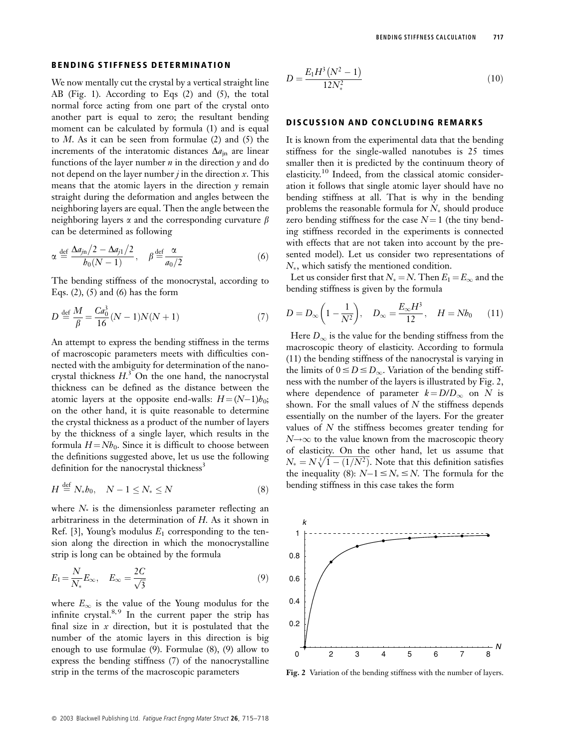We now mentally cut the crystal by a vertical straight line AB (Fig. 1). According to Eqs (2) and (5), the total normal force acting from one part of the crystal onto another part is equal to zero; the resultant bending moment can be calculated by formula (1) and is equal to  $M$ . As it can be seen from formulae (2) and (5) the increments of the interatomic distances  $\Delta a_{\text{in}}$  are linear functions of the layer number  $n$  in the direction  $\gamma$  and do not depend on the layer number  $j$  in the direction  $x$ . This means that the atomic layers in the direction y remain straight during the deformation and angles between the neighboring layers are equal. Then the angle between the neighboring layers  $\alpha$  and the corresponding curvature  $\beta$ can be determined as following

$$
\alpha \stackrel{\text{def}}{=} \frac{\Delta a_{j\text{n}}/2 - \Delta a_{j1}/2}{b_0(N-1)}, \quad \beta \stackrel{\text{def}}{=} \frac{\alpha}{a_0/2} \tag{6}
$$

The bending stiffness of the monocrystal, according to Eqs.  $(2)$ ,  $(5)$  and  $(6)$  has the form

$$
D \stackrel{\text{def}}{=} \frac{M}{\beta} = \frac{Ca_0^3}{16}(N-1)N(N+1)
$$
 (7)

An attempt to express the bending stiffness in the terms of macroscopic parameters meets with difficulties connected with the ambiguity for determination of the nanocrystal thickness  $H<sup>3</sup>$ . On the one hand, the nanocrystal thickness can be defined as the distance between the atomic layers at the opposite end-walls:  $H = (N-1)h_0$ ; on the other hand, it is quite reasonable to determine the crystal thickness as a product of the number of layers by the thickness of a single layer, which results in the formula  $H = Nb<sub>0</sub>$ . Since it is difficult to choose between the definitions suggested above, let us use the following definition for the nanocrystal thickness<sup>3</sup>

$$
H \stackrel{\text{def}}{=} N_* h_0, \quad N - 1 \le N_* \le N \tag{8}
$$

where  $N_*$  is the dimensionless parameter reflecting an arbitrariness in the determination of  $H$ . As it shown in Ref. [3], Young's modulus  $E_1$  corresponding to the tension along the direction in which the monocrystalline strip is long can be obtained by the formula

$$
E_1 = \frac{N}{N_*} E_\infty, \quad E_\infty = \frac{2C}{\sqrt{3}}\tag{9}
$$

where  $E_{\infty}$  is the value of the Young modulus for the infinite crystal.<sup>8,9</sup> In the current paper the strip has final size in  $x$  direction, but it is postulated that the number of the atomic layers in this direction is big enough to use formulae  $(9)$ . Formulae  $(8)$ ,  $(9)$  allow to express the bending stiffness (7) of the nanocrystalline strip in the terms of the macroscopic parameters

$$
D = \frac{E_1 H^3 (N^2 - 1)}{12 N_*^2} \tag{10}
$$

### **DISCUSSION AND CONCLUDING REMARKS**

It is known from the experimental data that the bending stiffness for the single-walled nanotubes is 25 times smaller then it is predicted by the continuum theory of elasticity.<sup>10</sup> Indeed, from the classical atomic consideration it follows that single atomic layer should have no bending stiffness at all. That is why in the bending problems the reasonable formula for  $N_*$  should produce zero bending stiffness for the case  $N=1$  (the tiny bending stiffness recorded in the experiments is connected with effects that are not taken into account by the presented model). Let us consider two representations of  $N_*$ , which satisfy the mentioned condition.

Let us consider first that  $N_* = N$ . Then  $E_1 = E_{\infty}$  and the bending stiffness is given by the formula

$$
D = D_{\infty} \left( 1 - \frac{1}{N^2} \right), \quad D_{\infty} = \frac{E_{\infty} H^3}{12}, \quad H = N b_0 \tag{11}
$$

Here  $D_{\infty}$  is the value for the bending stiffness from the macroscopic theory of elasticity. According to formula (11) the bending stiffness of the nanocrystal is varying in the limits of  $0 \le D \le D_{\infty}$ . Variation of the bending stiffness with the number of the layers is illustrated by Fig. 2, where dependence of parameter  $k = D/D_{\infty}$  on N is shown. For the small values of  $N$  the stiffness depends essentially on the number of the layers. For the greater values of  $N$  the stiffness becomes greater tending for  $N\rightarrow\infty$  to the value known from the macroscopic theory of elasticity. On the other hand, let us assume that  $N_* = N \sqrt[3]{1 - (1/N^2)}$ . Note that this definition satisfies the inequality (8):  $N-1 \le N_* \le N$ . The formula for the bending stiffness in this case takes the form



Fig. 2 Variation of the bending stiffness with the number of layers.